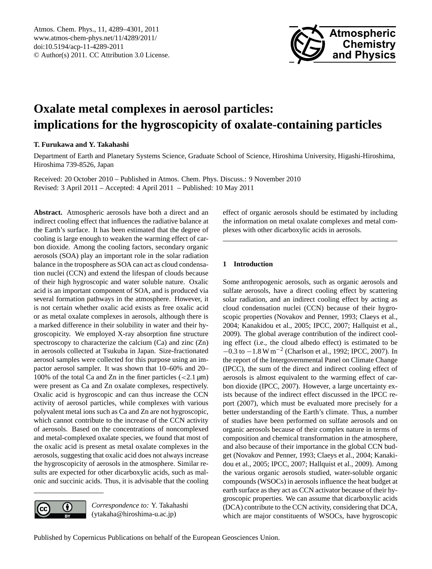

# <span id="page-0-0"></span>**Oxalate metal complexes in aerosol particles: implications for the hygroscopicity of oxalate-containing particles**

# **T. Furukawa and Y. Takahashi**

Department of Earth and Planetary Systems Science, Graduate School of Science, Hiroshima University, Higashi-Hiroshima, Hiroshima 739-8526, Japan

Received: 20 October 2010 – Published in Atmos. Chem. Phys. Discuss.: 9 November 2010 Revised: 3 April 2011 – Accepted: 4 April 2011 – Published: 10 May 2011

**Abstract.** Atmospheric aerosols have both a direct and an indirect cooling effect that influences the radiative balance at the Earth's surface. It has been estimated that the degree of cooling is large enough to weaken the warming effect of carbon dioxide. Among the cooling factors, secondary organic aerosols (SOA) play an important role in the solar radiation balance in the troposphere as SOA can act as cloud condensation nuclei (CCN) and extend the lifespan of clouds because of their high hygroscopic and water soluble nature. Oxalic acid is an important component of SOA, and is produced via several formation pathways in the atmosphere. However, it is not certain whether oxalic acid exists as free oxalic acid or as metal oxalate complexes in aerosols, although there is a marked difference in their solubility in water and their hygroscopicity. We employed X-ray absorption fine structure spectroscopy to characterize the calcium (Ca) and zinc (Zn) in aerosols collected at Tsukuba in Japan. Size-fractionated aerosol samples were collected for this purpose using an impactor aerosol sampler. It was shown that 10–60% and 20– 100% of the total Ca and Zn in the finer particles  $\left($  < 2.1  $\mu$ m) were present as Ca and Zn oxalate complexes, respectively. Oxalic acid is hygroscopic and can thus increase the CCN activity of aerosol particles, while complexes with various polyvalent metal ions such as Ca and Zn are not hygroscopic, which cannot contribute to the increase of the CCN activity of aerosols. Based on the concentrations of noncomplexed and metal-complexed oxalate species, we found that most of the oxalic acid is present as metal oxalate complexes in the aerosols, suggesting that oxalic acid does not always increase the hygroscopicity of aerosols in the atmosphere. Similar results are expected for other dicarboxylic acids, such as malonic and succinic acids. Thus, it is advisable that the cooling



*Correspondence to:* Y. Takahashi (ytakaha@hiroshima-u.ac.jp)

effect of organic aerosols should be estimated by including the information on metal oxalate complexes and metal complexes with other dicarboxylic acids in aerosols.

# **1 Introduction**

Some anthropogenic aerosols, such as organic aerosols and sulfate aerosols, have a direct cooling effect by scattering solar radiation, and an indirect cooling effect by acting as cloud condensation nuclei (CCN) because of their hygroscopic properties (Novakov and Penner, 1993; Claeys et al., 2004; Kanakidou et al., 2005; IPCC, 2007; Hallquist et al., 2009). The global average contribution of the indirect cooling effect (i.e., the cloud albedo effect) is estimated to be −0.3 to −1.8 W m−<sup>2</sup> (Charlson et al., 1992; IPCC, 2007). In the report of the Intergovernmental Panel on Climate Change (IPCC), the sum of the direct and indirect cooling effect of aerosols is almost equivalent to the warming effect of carbon dioxide (IPCC, 2007). However, a large uncertainty exists because of the indirect effect discussed in the IPCC report (2007), which must be evaluated more precisely for a better understanding of the Earth's climate. Thus, a number of studies have been performed on sulfate aerosols and on organic aerosols because of their complex nature in terms of composition and chemical transformation in the atmosphere, and also because of their importance in the global CCN budget (Novakov and Penner, 1993; Claeys et al., 2004; Kanakidou et al., 2005; IPCC, 2007; Hallquist et al., 2009). Among the various organic aerosols studied, water-soluble organic compounds (WSOCs) in aerosols influence the heat budget at earth surface as they act as CCN activator because of their hygroscopic properties. We can assume that dicarboxylic acids (DCA) contribute to the CCN activity, considering that DCA, which are major constituents of WSOCs, have hygroscopic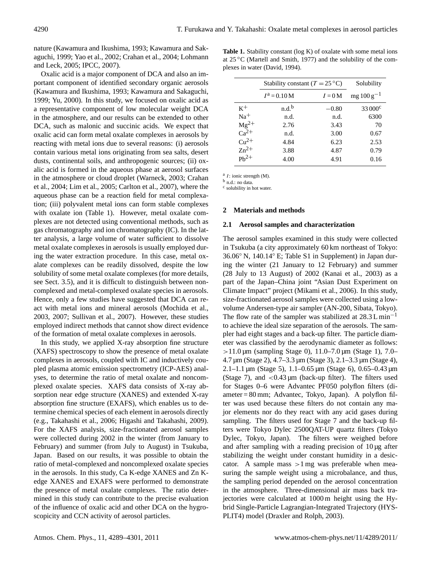nature (Kawamura and Ikushima, 1993; Kawamura and Sakaguchi, 1999; Yao et al., 2002; Crahan et al., 2004; Lohmann and Leck, 2005; IPCC, 2007).

Oxalic acid is a major component of DCA and also an important component of identified secondary organic aerosols (Kawamura and Ikushima, 1993; Kawamura and Sakaguchi, 1999; Yu, 2000). In this study, we focused on oxalic acid as a representative component of low molecular weight DCA in the atmosphere, and our results can be extended to other DCA, such as malonic and succinic acids. We expect that oxalic acid can form metal oxalate complexes in aerosols by reacting with metal ions due to several reasons: (i) aerosols contain various metal ions originating from sea salts, desert dusts, continental soils, and anthropogenic sources; (ii) oxalic acid is formed in the aqueous phase at aerosol surfaces in the atmosphere or cloud droplet (Warneck, 2003; Crahan et al., 2004; Lim et al., 2005; Carlton et al., 2007), where the aqueous phase can be a reaction field for metal complexation; (iii) polyvalent metal ions can form stable complexes with oxalate ion (Table 1). However, metal oxalate complexes are not detected using conventional methods, such as gas chromatography and ion chromatography (IC). In the latter analysis, a large volume of water sufficient to dissolve metal oxalate complexes in aerosols is usually employed during the water extraction procedure. In this case, metal oxalate complexes can be readily dissolved, despite the low solubility of some metal oxalate complexes (for more details, see Sect. 3.5), and it is difficult to distinguish between noncomplexed and metal-complexed oxalate species in aerosols. Hence, only a few studies have suggested that DCA can react with metal ions and mineral aerosols (Mochida et al., 2003, 2007; Sullivan et al., 2007). However, these studies employed indirect methods that cannot show direct evidence of the formation of metal oxalate complexes in aerosols.

In this study, we applied X-ray absorption fine structure (XAFS) spectroscopy to show the presence of metal oxalate complexes in aerosols, coupled with IC and inductively coupled plasma atomic emission spectrometry (ICP-AES) analyses, to determine the ratio of metal oxalate and noncomplexed oxalate species. XAFS data consists of X-ray absorption near edge structure (XANES) and extended X-ray absorption fine structure (EXAFS), which enables us to determine chemical species of each element in aerosols directly (e.g., Takahashi et al., 2006; Higashi and Takahashi, 2009). For the XAFS analysis, size-fractionated aerosol samples were collected during 2002 in the winter (from January to February) and summer (from July to August) in Tsukuba, Japan. Based on our results, it was possible to obtain the ratio of metal-complexed and noncomplexed oxalate species in the aerosols. In this study, Ca K-edge XANES and Zn Kedge XANES and EXAFS were performed to demonstrate the presence of metal oxalate complexes. The ratio determined in this study can contribute to the precise evaluation of the influence of oxalic acid and other DCA on the hygroscopicity and CCN activity of aerosol particles.

Table 1. Stability constant (log K) of oxalate with some metal ions at 25 ◦C (Martell and Smith, 1977) and the solubility of the complexes in water (David, 1994).

|           | Stability constant $(T = 25^{\circ}C)$ | Solubility |                 |
|-----------|----------------------------------------|------------|-----------------|
|           | $I^a = 0.10 M$                         | $I = 0$ M  | $mg 100 g^{-1}$ |
| $K^+$     | n.d. <sup>b</sup>                      | $-0.80$    | $33000^{\circ}$ |
| $Na+$     | n.d.                                   | n.d.       | 6300            |
| $Mg^{2+}$ | 2.76                                   | 3.43       | 70              |
| $Ca^{2+}$ | n.d.                                   | 3.00       | 0.67            |
| $Cu2+$    | 4.84                                   | 6.23       | 2.53            |
| $Zn^{2+}$ | 3.88                                   | 4.87       | 0.79            |
| $Ph^{2+}$ | 4.00                                   | 4.91       | 0.16            |
|           |                                        |            |                 |

 $a$  I: ionic strength (M).

<sup>b</sup> n.d.: no data.

c solubility in hot water.

#### **2 Materials and methods**

### **2.1 Aerosol samples and characterization**

The aerosol samples examined in this study were collected in Tsukuba (a city approximately 60 km northeast of Tokyo: 36.06◦ N, 140.14◦ E; Table S1 in Supplement) in Japan during the winter (21 January to 12 February) and summer (28 July to 13 August) of 2002 (Kanai et al., 2003) as a part of the Japan–China joint "Asian Dust Experiment on Climate Impact" project (Mikami et al., 2006). In this study, size-fractionated aerosol samples were collected using a lowvolume Andersen-type air sampler (AN-200, Sibata, Tokyo). The flow rate of the sampler was stabilized at  $28.3 \text{ L min}^{-1}$ to achieve the ideal size separation of the aerosols. The sampler had eight stages and a back-up filter. The particle diameter was classified by the aerodynamic diameter as follows:  $>11.0 \,\mu$ m (sampling Stage 0), 11.0–7.0  $\mu$ m (Stage 1), 7.0– 4.7 µm (Stage 2), 4.7–3.3 µm (Stage 3), 2.1–3.3 µm (Stage 4), 2.1–1.1  $\mu$ m (Stage 5), 1.1–0.65  $\mu$ m (Stage 6), 0.65–0.43  $\mu$ m (Stage 7), and  $< 0.43 \,\text{\mu m}$  (back-up filter). The filters used for Stages 0–6 were Advantec PF050 polyflon filters (diameter = 80 mm; Advantec, Tokyo, Japan). A polyflon filter was used because these filters do not contain any major elements nor do they react with any acid gases during sampling. The filters used for Stage 7 and the back-up filters were Tokyo Dylec 2500QAT-UP quartz filters (Tokyo Dylec, Tokyo, Japan). The filters were weighed before and after sampling with a reading precision of  $10 \mu$ g after stabilizing the weight under constant humidity in a desiccator. A sample mass  $>1$  mg was preferable when measuring the sample weight using a microbalance, and thus, the sampling period depended on the aerosol concentration in the atmosphere. Three-dimensional air mass back trajectories were calculated at 1000 m height using the Hybrid Single-Particle Lagrangian-Integrated Trajectory (HYS-PLIT4) model (Draxler and Rolph, 2003).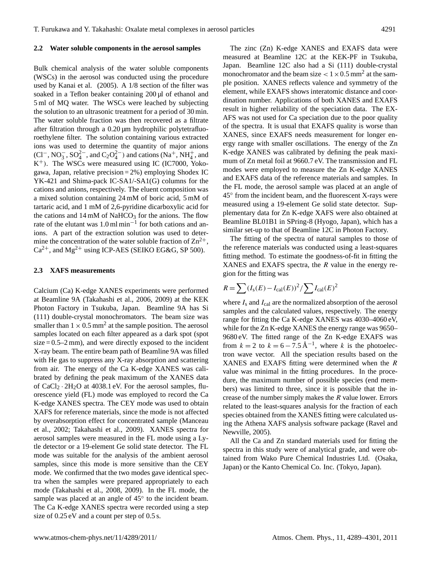#### **2.2 Water soluble components in the aerosol samples**

Bulk chemical analysis of the water soluble components (WSCs) in the aerosol was conducted using the procedure used by Kanai et al. (2005). A 1/8 section of the filter was soaked in a Teflon beaker containing 200 µl of ethanol and 5 ml of MQ water. The WSCs were leached by subjecting the solution to an ultrasonic treatment for a period of 30 min. The water soluble fraction was then recovered as a filtrate after filtration through a 0.20 µm hydrophilic polytetrafluoroethylene filter. The solution containing various extracted ions was used to determine the quantity of major anions (Cl<sup>−</sup>, NO<sub>3</sub><sup>-</sup>, SO<sub>4</sub><sup>2</sup><sup>-</sup>, and C<sub>2</sub>O<sub>4</sub><sup>2</sup><sup>-</sup>) and cations (Na<sup>+</sup>, NH<sub>4</sub><sup>+</sup>, and K <sup>+</sup>). The WSCs were measured using IC (IC7000, Yokogawa, Japan, relative precision = 2%) employing Shodex IC YK-421 and Shima-pack IC-SA1/-SA1(G) columns for the cations and anions, respectively. The eluent composition was a mixed solution containing 24 mM of boric acid, 5 mM of tartaric acid, and 1 mM of 2,6-pyridine dicarboxylic acid for the cations and  $14 \text{ mM of NaHCO}_3$  for the anions. The flow rate of the elutant was 1.0 ml min<sup>-1</sup> for both cations and anions. A part of the extraction solution was used to determine the concentration of the water soluble fraction of  $\text{Zn}^{2+}$ ,  $Ca^{2+}$ , and Mg<sup>2+</sup> using ICP-AES (SEIKO EG&G, SP 500).

#### **2.3 XAFS measurements**

Calcium (Ca) K-edge XANES experiments were performed at Beamline 9A (Takahashi et al., 2006, 2009) at the KEK Photon Factory in Tsukuba, Japan. Beamline 9A has Si (111) double-crystal monochromators. The beam size was smaller than  $1 \times 0.5$  mm<sup>2</sup> at the sample position. The aerosol samples located on each filter appeared as a dark spot (spot  $size = 0.5 - 2 \text{ mm}$ , and were directly exposed to the incident X-ray beam. The entire beam path of Beamline 9A was filled with He gas to suppress any X-ray absorption and scattering from air. The energy of the Ca K-edge XANES was calibrated by defining the peak maximum of the XANES data of  $CaCl_2 \cdot 2H_2O$  at 4038.1 eV. For the aerosol samples, fluorescence yield (FL) mode was employed to record the Ca K-edge XANES spectra. The CEY mode was used to obtain XAFS for reference materials, since the mode is not affected by overabsorption effect for concentrated sample (Manceau et al., 2002; Takahashi et al., 2009). XANES spectra for aerosol samples were measured in the FL mode using a Lytle detector or a 19-element Ge solid state detector. The FL mode was suitable for the analysis of the ambient aerosol samples, since this mode is more sensitive than the CEY mode. We confirmed that the two modes gave identical spectra when the samples were prepared appropriately to each mode (Takahashi et al., 2008, 2009). In the FL mode, the sample was placed at an angle of 45° to the incident beam. The Ca K-edge XANES spectra were recorded using a step size of  $0.25$  eV and a count per step of  $0.5$  s.

The zinc (Zn) K-edge XANES and EXAFS data were measured at Beamline 12C at the KEK-PF in Tsukuba, Japan. Beamline 12C also had a Si (111) double-crystal monochromator and the beam size  $< 1 \times 0.5$  mm<sup>2</sup> at the sample position. XANES reflects valence and symmetry of the element, while EXAFS shows interatomic distance and coordination number. Applications of both XANES and EXAFS result in higher reliability of the speciation data. The EX-AFS was not used for Ca speciation due to the poor quality of the spectra. It is usual that EXAFS quality is worse than XANES, since EXAFS needs measurement for longer energy range with smaller oscillations. The energy of the Zn K-edge XANES was calibrated by defining the peak maximum of Zn metal foil at 9660.7 eV. The transmission and FL modes were employed to measure the Zn K-edge XANES and EXAFS data of the reference materials and samples. In the FL mode, the aerosol sample was placed at an angle of 45◦ from the incident beam, and the fluorescent X-rays were measured using a 19-element Ge solid state detector. Supplementary data for Zn K-edge XAFS were also obtained at Beamline BL01B1 in SPring-8 (Hyogo, Japan), which has a similar set-up to that of Beamline 12C in Photon Factory.

The fitting of the spectra of natural samples to those of the reference materials was conducted using a least-squares fitting method. To estimate the goodness-of-fit in fitting the XANES and EXAFS spectra, the  $R$  value in the energy region for the fitting was

$$
R = \sum (I_{\rm s}(E) - I_{\rm cal}(E))^2 / \sum I_{\rm cal}(E)^2
$$

where  $I_s$  and  $I_{cal}$  are the normalized absorption of the aerosol samples and the calculated values, respectively. The energy range for fitting the Ca K-edge XANES was 4030–4060 eV, while for the Zn K-edge XANES the energy range was 9650– 9680 eV. The fitted range of the Zn K-edge EXAFS was from  $k = 2$  to  $k = 6 - 7.5 \text{ Å}^{-1}$ , where k is the photoelectron wave vector. All the speciation results based on the XANES and EXAFS fitting were determined when the R value was minimal in the fitting procedures. In the procedure, the maximum number of possible species (end members) was limited to three, since it is possible that the increase of the number simply makes the  $R$  value lower. Errors related to the least-squares analysis for the fraction of each species obtained from the XANES fitting were calculated using the Athena XAFS analysis software package (Ravel and Newville, 2005).

All the Ca and Zn standard materials used for fitting the spectra in this study were of analytical grade, and were obtained from Wako Pure Chemical Industries Ltd. (Osaka, Japan) or the Kanto Chemical Co. Inc. (Tokyo, Japan).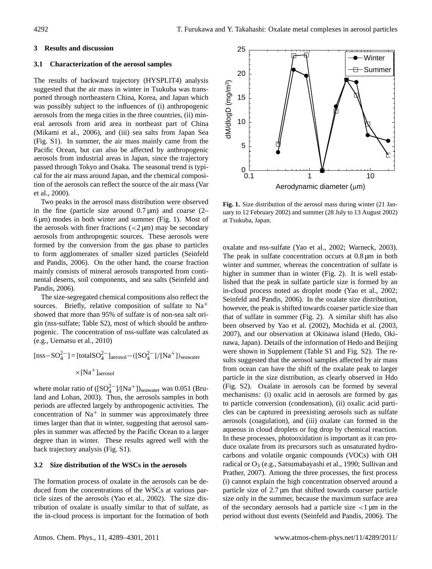# **3 Results and discussion**

## **3.1 Characterization of the aerosol samples**

The results of backward trajectory (HYSPLIT4) analysis suggested that the air mass in winter in Tsukuba was transported through northeastern China, Korea, and Japan which was possibly subject to the influences of (i) anthropogenic aerosols from the mega cities in the three countries, (ii) mineral aerosols from arid area in northeast part of China (Mikami et al., 2006), and (iii) sea salts from Japan Sea (Fig. S1). In summer, the air mass mainly came from the Pacific Ocean, but can also be affected by anthropogenic aerosols from industrial areas in Japan, since the trajectory passed through Tokyo and Osaka. The seasonal trend is typical for the air mass around Japan, and the chemical composition of the aerosols can reflect the source of the air mass (Var et al., 2000).

Two peaks in the aerosol mass distribution were observed in the fine (particle size around  $0.7 \mu m$ ) and coarse (2–  $6 \mu m$ ) modes in both winter and summer (Fig. 1). Most of the aerosols with finer fractions  $\left($  <2  $\mu$ m) may be secondary aerosols from anthropogenic sources. These aerosols were formed by the conversion from the gas phase to particles to form agglomerates of smaller sized particles (Seinfeld and Pandis, 2006). On the other hand, the coarse fraction mainly consists of mineral aerosols transported from continental deserts, soil components, and sea salts (Seinfeld and Pandis, 2006).

The size-segregated chemical compositions also reflect the sources. Briefly, relative composition of sulfate to  $Na<sup>+</sup>$ showed that more than 95% of sulfate is of non-sea salt origin (nss-sulfate; Table S2), most of which should be anthropogenic. The concentration of nss-sulfate was calculated as (e.g., Uematsu et al., 2010)

[nss−SO2<sup>−</sup> 4 ] = [totalSO2<sup>−</sup> 4 ]aerosol−([SO2<sup>−</sup> 4 ]/[Na+])seawater ×[Na+]aerosol

where molar ratio of  $([SO_4^{2-}]/[Na^+])$ <sub>seawater</sub> was 0.051 (Bruland and Lohan, 2003). Thus, the aerosols samples in both periods are affected largely by anthropogenic activities. The concentration of  $Na<sup>+</sup>$  in summer was approximately three times larger than that in winter, suggesting that aerosol samples in summer was affected by the Pacific Ocean to a larger degree than in winter. These results agreed well with the back trajectory analysis (Fig. S1).

# **3.2 Size distribution of the WSCs in the aerosols**

The formation process of oxalate in the aerosols can be deduced from the concentrations of the WSCs at various particle sizes of the aerosols (Yao et al., 2002). The size distribution of oxalate is usually similar to that of sulfate, as the in-cloud process is important for the formation of both



**Fig. 1.** Size distribution of the aerosol mass during winter (21 January to 12 February 2002) and summer (28 July to 13 August 2002) at Tsukuba, Japan.

Figure in summer than in whiter  $(\text{Fig. 2}).$  It is well established that the peak in sulfate particle size is formed by an oxalate and nss-sulfate (Yao et al., 2002; Warneck, 2003). The peak in sulfate concentration occurs at  $0.8 \mu m$  in both winter and summer, whereas the concentration of sulfate is higher in summer than in winter (Fig. 2). It is well estabin-cloud process noted as droplet mode (Yao et al., 2002; Seinfeld and Pandis, 2006). In the oxalate size distribution, however, the peak is shifted towards coarser particle size than that of sulfate in summer (Fig. 2). A similar shift has also been observed by Yao et al. (2002), Mochida et al. (2003, 2007), and our observation at Okinawa island (Hedo, Okinawa, Japan). Details of the information of Hedo and Beijing were shown in Supplement (Table S1 and Fig. S2). The results suggested that the aerosol samples affected by air mass from ocean can have the shift of the oxalate peak to larger particle in the size distribution, as clearly observed in Hdo (Fig. S2). Oxalate in aerosols can be formed by several mechanisms: (i) oxalic acid in aerosols are formed by gas to particle conversion (condensation), (ii) oxalic acid particles can be captured in preexisting aerosols such as sulfate aerosols (coagulation), and (iii) oxalate can formed in the aqueous in cloud droplets or fog drop by chemical reaction. In these processes, photooxidation is important as it can produce oxalate from its precursors such as unsaturated hydrocarbons and volatile organic compounds (VOCs) with OH radical or O<sub>3</sub> (e.g., Satsumabayashi et al., 1990; Sullivan and Prather, 2007). Among the three processes, the first process (i) cannot explain the high concentration observed around a particle size of 2.7  $\mu$ m that shifted towards coarser particle size only in the summer, because the maximum surface area of the secondary aerosols had a particle size  $\langle 1 \rangle$  um in the period without dust events (Seinfeld and Pandis, 2006). The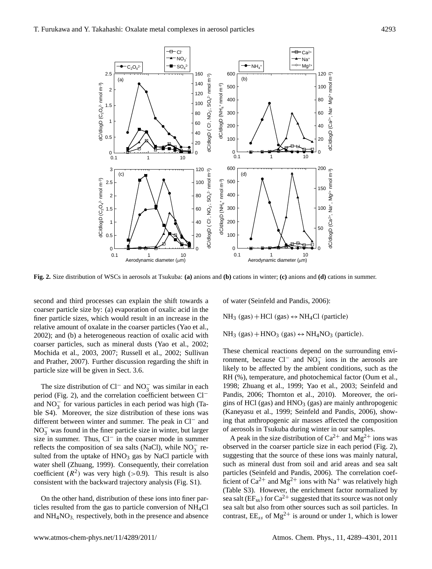

**Fig. 2.** Size distribution of WSCs in aerosols at Tsukuba: **(a)** anions and **(b)** cations in winter; **(c)** anions and **(d)** cations in summer.

second and third processes can explain the shift towards a coarser particle size by: (a) evaporation of oxalic acid in the finer particle sizes, which would result in an increase in the relative amount of oxalate in the coarser particles (Yao et al., 2002); and (b) a heterogeneous reaction of oxalic acid with coarser particles, such as mineral dusts (Yao et al., 2002; Mochida et al., 2003, 2007; Russell et al., 2002; Sullivan and Prather, 2007). Further discussion regarding the shift in particle size will be given in Sect. 3.6.

The size distribution of  $Cl^-$  and  $NO_3^-$  was similar in each period (Fig. 2), and the correlation coefficient between Cl<sup>−</sup> and  $NO<sub>3</sub><sup>-</sup>$  for various particles in each period was high (Table S4). Moreover, the size distribution of these ions was different between winter and summer. The peak in Cl<sup>−</sup> and  $NO<sub>3</sub><sup>-</sup>$  was found in the finer particle size in winter, but larger size in summer. Thus, Cl<sup>−</sup> in the coarser mode in summer reflects the composition of sea salts (NaCl), while  $NO_3^-$  resulted from the uptake of  $HNO<sub>3</sub>$  gas by NaCl particle with water shell (Zhuang, 1999). Consequently, their correlation coefficient  $(R^2)$  was very high (>0.9). This result is also consistent with the backward trajectory analysis (Fig. S1).

On the other hand, distribution of these ions into finer particles resulted from the gas to particle conversion of NH4Cl and  $NH<sub>4</sub>NO<sub>3</sub>$ , respectively, both in the presence and absence of water (Seinfeld and Pandis, 2006):

 $NH_3$  (gas) + HCl (gas)  $\leftrightarrow$  NH<sub>4</sub>Cl (particle)

 $NH_3$  (gas) + HNO<sub>3</sub> (gas)  $\leftrightarrow$  NH<sub>4</sub>NO<sub>3</sub> (particle).

RH (%), temperature, and photochemical factor (Oum et al., These chemical reactions depend on the surrounding environment, because  $Cl^-$  and  $NO_3^-$  ions in the aerosols are likely to be affected by the ambient conditions, such as the 1998; Zhuang et al., 1999; Yao et al., 2003; Seinfeld and Pandis, 2006; Thornton et al., 2010). Moreover, the origins of HCl (gas) and  $HNO<sub>3</sub>$  (gas) are mainly anthropogenic (Kaneyasu et al., 1999; Seinfeld and Pandis, 2006), showing that anthropogenic air masses affected the composition of aerosols in Tsukuba during winter in our samples.

A peak in the size distribution of  $Ca^{2+}$  and  $Mg^{2+}$  ions was observed in the coarser particle size in each period (Fig. 2), suggesting that the source of these ions was mainly natural, such as mineral dust from soil and arid areas and sea salt particles (Seinfeld and Pandis, 2006). The correlation coefficient of Ca<sup>2+</sup> and Mg<sup>2+</sup> ions with Na<sup>+</sup> was relatively high (Table S3). However, the enrichment factor normalized by sea salt ( $EF_{ss}$ ) for  $Ca^{2+}$  suggested that its source was not only sea salt but also from other sources such as soil particles. In contrast,  $EE_{ss}$  of  $Mg^{2+}$  is around or under 1, which is lower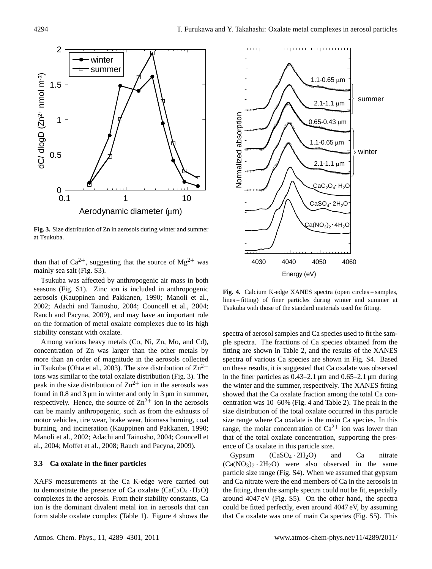

**Fig. 3.** Size distribution of Zn in aerosols during winter and summer at Tsukuba.

than that of  $Ca^{2+}$ , suggesting that the source of  $Mg^{2+}$  was mainly sea salt (Fig. S3).

Tsukuba was affected by anthropogenic air mass in both seasons (Fig. S1). Zinc ion is included in anthropogenic aerosols (Kauppinen and Pakkanen, 1990; Manoli et al., 2002; Adachi and Tainosho, 2004; Councell et al., 2004; Rauch and Pacyna, 2009), and may have an important role on the formation of metal oxalate complexes due to its high stability constant with oxalate.

In Tsukuba (Onta et al., 2005). The size distribution of  $Zn = 0$  is  $Zn = 0$  in  $\frac{1}{2}$ Among various heavy metals (Co, Ni, Zn, Mo, and Cd), concentration of Zn was larger than the other metals by more than an order of magnitude in the aerosols collected in Tsukuba (Ohta et al., 2003). The size distribution of  $\text{Zn}^{2+}$ peak in the size distribution of  $\text{Zn}^{2+}$  ion in the aerosols was found in 0.8 and  $3 \mu m$  in winter and only in  $3 \mu m$  in summer, respectively. Hence, the source of  $\text{Zn}^{2+}$  ion in the aerosols can be mainly anthropogenic, such as from the exhausts of motor vehicles, tire wear, brake wear, biomass burning, coal burning, and incineration (Kauppinen and Pakkanen, 1990; Manoli et al., 2002; Adachi and Tainosho, 2004; Councell et al., 2004; Moffet et al., 2008; Rauch and Pacyna, 2009).

## **3.3 Ca oxalate in the finer particles**

XAFS measurements at the Ca K-edge were carried out to demonstrate the presence of Ca oxalate  $(CaC_2O_4 \cdot H_2O)$ complexes in the aerosols. From their stability constants, Ca ion is the dominant divalent metal ion in aerosols that can form stable oxalate complex (Table 1). Figure 4 shows the



Fig. 4. Cancially K cage ATTLES speed to open energy standing. **Fig. 4.** Calcium K-edge XANES spectra (open circles = samples, Tsukuba with those of the standard materials used for fitting.

35 centration was 10–60% (Fig. 4 and Table 2). The peak in the spectra of aerosol samples and Ca species used to fit the sample spectra. The fractions of Ca species obtained from the fitting are shown in Table 2, and the results of the XANES spectra of various Ca species are shown in Fig. S4. Based on these results, it is suggested that Ca oxalate was observed in the finer particles as  $0.43-2.1 \,\mu m$  and  $0.65-2.1 \,\mu m$  during the winter and the summer, respectively. The XANES fitting showed that the Ca oxalate fraction among the total Ca consize distribution of the total oxalate occurred in this particle size range where Ca oxalate is the main Ca species. In this range, the molar concentration of  $Ca^{2+}$  ion was lower than that of the total oxalate concentration, supporting the presence of Ca oxalate in this particle size.

Gypsum  $(CaSO_4 \cdot 2H_2O)$  and Ca nitrate  $(Ca(NO<sub>3</sub>)<sub>2</sub> · 2H<sub>2</sub>O)$  were also observed in the same particle size range (Fig. S4). When we assumed that gypsum and Ca nitrate were the end members of Ca in the aerosols in the fitting, then the sample spectra could not be fit, especially around 4047 eV (Fig. S5). On the other hand, the spectra could be fitted perfectly, even around 4047 eV, by assuming that Ca oxalate was one of main Ca species (Fig. S5). This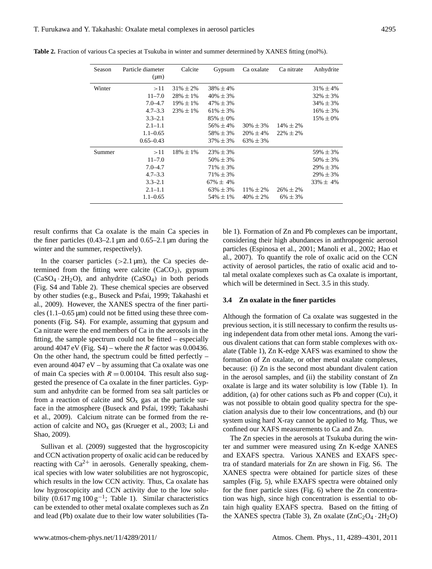| Season | Particle diameter<br>$(\mu m)$                                                                                 | Calcite                                                              | Gypsum                                                                                                                                       | Ca oxalate                                         | Ca nitrate                       | Anhydrite                                                                              |
|--------|----------------------------------------------------------------------------------------------------------------|----------------------------------------------------------------------|----------------------------------------------------------------------------------------------------------------------------------------------|----------------------------------------------------|----------------------------------|----------------------------------------------------------------------------------------|
| Winter | >11<br>$11 - 7.0$<br>$7.0 - 4.7$<br>$4.7 - 3.3$<br>$3.3 - 2.1$<br>$2.1 - 1.1$<br>$1.1 - 0.65$<br>$0.65 - 0.43$ | $31\% \pm 2\%$<br>$28\% \pm 1\%$<br>$19\% \pm 1\%$<br>$23\% \pm 1\%$ | $38\% \pm 4\%$<br>$40\% \pm 3\%$<br>$47\% \pm 3\%$<br>$61\% \pm 3\%$<br>$85\% \pm 0\%$<br>$56\% \pm 4\%$<br>$58\% \pm 3\%$<br>$37\% \pm 3\%$ | $30\% \pm 3\%$<br>$20\% \pm 4\%$<br>$63\% \pm 3\%$ | $14\% \pm 2\%$<br>$22\% \pm 2\%$ | $31\% \pm 4\%$<br>$32\% \pm 3\%$<br>$34\% \pm 3\%$<br>$16\% \pm 3\%$<br>$15\% \pm 0\%$ |
| Summer | >11<br>$11 - 7.0$<br>$7.0 - 4.7$<br>$4.7 - 3.3$<br>$3.3 - 2.1$<br>$2.1 - 1.1$<br>$1.1 - 0.65$                  | $18\% \pm 1\%$                                                       | $23\% \pm 3\%$<br>$50\% \pm 3\%$<br>$71\% \pm 3\%$<br>$71\% \pm 3\%$<br>$67\% \pm 4\%$<br>$63\% \pm 3\%$<br>$54\% \pm 1\%$                   | $11\% \pm 2\%$<br>$40\% \pm 2\%$                   | $26\% \pm 2\%$<br>$6\% \pm 3\%$  | $59\% \pm 3\%$<br>$50\% \pm 3\%$<br>$29\% \pm 3\%$<br>$29\% \pm 3\%$<br>$33\% \pm 4\%$ |

**Table 2.** Fraction of various Ca species at Tsukuba in winter and summer determined by XANES fitting (mol%).

result confirms that Ca oxalate is the main Ca species in the finer particles  $(0.43-2.1 \,\mu m)$  and  $(0.65-2.1 \,\mu m)$  during the winter and the summer, respectively).

In the coarser particles  $(>2.1 \,\mu\text{m})$ , the Ca species determined from the fitting were calcite  $(CaCO<sub>3</sub>)$ , gypsum  $(CaSO<sub>4</sub> \cdot 2H<sub>2</sub>O)$ , and anhydrite  $(CaSO<sub>4</sub>)$  in both periods (Fig. S4 and Table 2). These chemical species are observed by other studies (e.g., Buseck and Psfai, 1999; Takahashi et al., 2009). However, the XANES spectra of the finer particles  $(1.1-0.65 \,\text{\mu m})$  could not be fitted using these three components (Fig. S4). For example, assuming that gypsum and Ca nitrate were the end members of Ca in the aerosols in the fitting, the sample spectrum could not be fitted – especially around 4047 eV (Fig.  $S4$ ) – where the R factor was 0.00436. On the other hand, the spectrum could be fitted perfectly – even around  $4047 \text{ eV} - \text{by assuming that Ca}\{\text{ox}\}\$ of main Ca species with  $R = 0.00104$ . This result also suggested the presence of Ca oxalate in the finer particles. Gypsum and anhydrite can be formed from sea salt particles or from a reaction of calcite and  $SO_x$  gas at the particle surface in the atmosphere (Buseck and Psfai, 1999; Takahashi et al., 2009). Calcium nitrate can be formed from the reaction of calcite and  $NO<sub>x</sub>$  gas (Krueger et al., 2003; Li and Shao, 2009).

Sullivan et al. (2009) suggested that the hygroscopicity and CCN activation property of oxalic acid can be reduced by reacting with  $Ca^{2+}$  in aerosols. Generally speaking, chemical species with low water solubilities are not hygroscopic, which results in the low CCN activity. Thus, Ca oxalate has low hygroscopicity and CCN activity due to the low solubility  $(0.617 \text{ mg } 100 \text{ g}^{-1})$ ; Table 1). Similar characteristics can be extended to other metal oxalate complexes such as Zn and lead (Pb) oxalate due to their low water solubilities (Table 1). Formation of Zn and Pb complexes can be important, considering their high abundances in anthropogenic aerosol particles (Espinosa et al., 2001; Manoli et al., 2002; Hao et al., 2007). To quantify the role of oxalic acid on the CCN activity of aerosol particles, the ratio of oxalic acid and total metal oxalate complexes such as Ca oxalate is important, which will be determined in Sect. 3.5 in this study.

#### **3.4 Zn oxalate in the finer particles**

Although the formation of Ca oxalate was suggested in the previous section, it is still necessary to confirm the results using independent data from other metal ions. Among the various divalent cations that can form stable complexes with oxalate (Table 1), Zn K-edge XAFS was examined to show the formation of Zn oxalate, or other metal oxalate complexes, because: (i) Zn is the second most abundant divalent cation in the aerosol samples, and (ii) the stability constant of Zn oxalate is large and its water solubility is low (Table 1). In addition, (a) for other cations such as Pb and copper (Cu), it was not possible to obtain good quality spectra for the speciation analysis due to their low concentrations, and (b) our system using hard X-ray cannot be applied to Mg. Thus, we confined our XAFS measurements to Ca and Zn.

The Zn species in the aerosols at Tsukuba during the winter and summer were measured using Zn K-edge XANES and EXAFS spectra. Various XANES and EXAFS spectra of standard materials for Zn are shown in Fig. S6. The XANES spectra were obtained for particle sizes of these samples (Fig. 5), while EXAFS spectra were obtained only for the finer particle sizes (Fig. 6) where the Zn concentration was high, since high concentration is essential to obtain high quality EXAFS spectra. Based on the fitting of the XANES spectra (Table 3), Zn oxalate  $(ZnC_2O_4 \cdot 2H_2O)$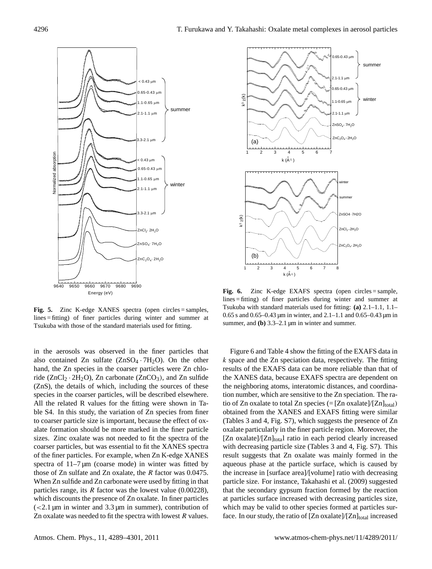

Tsukuba with those of the standard materials used for fitting. Fig. 5. Zinc K-edge XANES spectra (open circles = samples, lines = fitting) of finer particles during winter and summer at

in the aerosols was observed in the finer particles that also contained Zn sulfate  $(ZnSO_4 \cdot 7H_2O)$ . On the other hand, the Zn species in the coarser particles were Zn chloride ( $ZnCl_2 \tcdot 2H_2O$ ), Zn carbonate ( $ZnCO_3$ ), and Zn sulfide (ZnS), the details of which, including the sources of these species in the coarser particles, will be described elsewhere. All the related R values for the fitting were shown in Table S4. In this study, the variation of Zn species from finer to coarser particle size is important, because the effect of oxalate formation should be more marked in the finer particle sizes. Zinc oxalate was not needed to fit the spectra of the coarser particles, but was essential to fit the XANES spectra of the finer particles. For example, when Zn K-edge XANES spectra of  $11-7 \mu m$  (coarse mode) in winter was fitted by those of Zn sulfate and Zn oxalate, the R factor was 0.0475. When Zn sulfide and Zn carbonate were used by fitting in that particles range, its  $R$  factor was the lowest value  $(0.00228)$ , which discounts the presence of Zn oxalate. In finer particles  $\approx$  2.1 µm in winter and 3.3 µm in summer), contribution of Zn oxalate was needed to fit the spectra with lowest  $R$  values.



38 Tsukuba with standard materials used for fitting: **(a)** 2.1–1.1, 1.1– Fig. 6. Zinc K-edge EXAFS spectra (open circles = sample, lines = fitting) of finer particles during winter and summer at 0.65 s and 0.65–0.43 µm in winter, and 2.1–1.1 and 0.65–0.43 µm in summer, and **(b)** 3.3–2.1 µm in winter and summer.

Figure 6 and Table 4 show the fitting of the EXAFS data in  $k$  space and the Zn speciation data, respectively. The fitting results of the EXAFS data can be more reliable than that of the XANES data, because EXAFS spectra are dependent on the neighboring atoms, interatomic distances, and coordination number, which are sensitive to the Zn speciation. The ratio of Zn oxalate to total Zn species (= [Zn oxalate]/[Zn]<sub>total</sub>) obtained from the XANES and EXAFS fitting were similar (Tables 3 and 4, Fig. S7), which suggests the presence of Zn oxalate particularly in the finer particle region. Moreover, the  $[Zn]$  oxalate]/ $[Zn]$ <sub>tota</sub>l ratio in each period clearly increased with decreasing particle size (Tables 3 and 4, Fig. S7). This result suggests that Zn oxalate was mainly formed in the aqueous phase at the particle surface, which is caused by the increase in [surface area]/[volume] ratio with decreasing particle size. For instance, Takahashi et al. (2009) suggested that the secondary gypsum fraction formed by the reaction at particles surface increased with decreasing particles size, which may be valid to other species formed at particles surface. In our study, the ratio of  $[Zn]$  oxalate]/ $[Zn]_{total}$  increased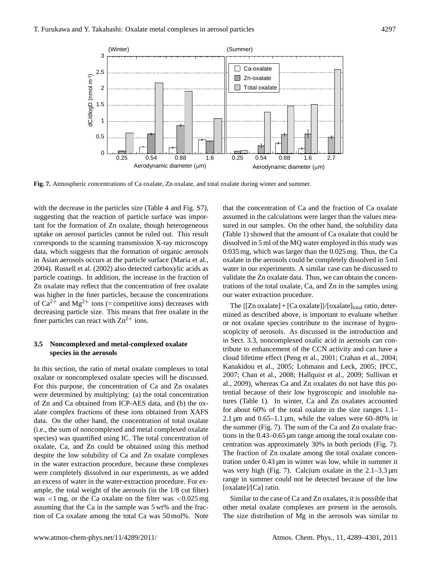

**Fig. 7.** Atmospheric concentrations of Ca oxalate, Zn oxalate, and total oxalate during winter and summer.

with the decrease in the particles size (Table 4 and Fig. S7), suggesting that the reaction of particle surface was important for the formation of Zn oxalate, though heterogeneous uptake on aerosol particles cannot be ruled out. This result corresponds to the scanning transmission X-ray microscopy data, which suggests that the formation of organic aerosols in Asian aerosols occurs at the particle surface (Maria et al., 2004). Russell et al. (2002) also detected carboxylic acids as particle coatings. In addition, the increase in the fraction of Zn oxalate may reflect that the concentration of free oxalate was higher in the finer particles, because the concentrations of  $Ca^{2+}$  and Mg<sup>2+</sup> ions (= competitive ions) decreases with decreasing particle size. This means that free oxalate in the finer particles can react with  $\text{Zn}^{2+}$  ions.

## **3.5 Noncomplexed and metal-complexed oxalate species in the aerosols**

In this section, the ratio of metal oxalate complexes to total oxalate or noncomplexed oxalate species will be discussed. For this purpose, the concentration of Ca and Zn oxalates were determined by multiplying: (a) the total concentration of Zn and Ca obtained from ICP-AES data, and (b) the oxalate complex fractions of these ions obtained from XAFS data. On the other hand, the concentration of total oxalate (i.e., the sum of noncomplexed and metal complexed oxalate species) was quantified using IC. The total concentration of oxalate, Ca, and Zn could be obtained using this method despite the low solubility of Ca and Zn oxalate complexes in the water extraction procedure, because these complexes were completely dissolved in our experiments, as we added an excess of water in the water-extraction procedure. For example, the total weight of the aerosols (in the 1/8 cut filter) was  $\langle$ 1 mg, or the Ca oxalate on the filter was  $\langle$ 0.025 mg assuming that the Ca in the sample was 5 wt% and the fraction of Ca oxalate among the total Ca was 50 mol%. Note

(Table 1) showed that the amount of Ca oxalate that could be that the concentration of Ca and the fraction of Ca oxalate assumed in the calculations were larger than the values measured in our samples. On the other hand, the solubility data dissolved in 5 ml of the MQ water employed in this study was 0.035 mg, which was larger than the 0.025 mg. Thus, the Ca oxalate in the aerosols could be completely dissolved in 5 ml water in our experiments. A similar case can be discussed to validate the Zn oxalate data. Thus, we can obtain the concentrations of the total oxalate, Ca, and Zn in the samples using our water extraction procedure.

for about 60% of the total oxalate in the size ranges 1.1– The  $\{[Zn \text{ oxalate}] + [Ca \text{oxalate}]\}/[\text{oxalate}]_{total}$  ratio, determined as described above, is important to evaluate whether or not oxalate species contribute to the increase of hygroscopicity of aerosols. As discussed in the introduction and in Sect. 3.3, noncomplexed oxalic acid in aerosols can contribute to enhancement of the CCN activity and can have a cloud lifetime effect (Peng et al., 2001; Crahan et al., 2004; Kanakidou et al., 2005; Lohmann and Leck, 2005; IPCC, 2007; Chan et al., 2008; Hallquist et al., 2009; Sullivan et al., 2009), whereas Ca and Zn oxalates do not have this potential because of their low hygroscopic and insoluble natures (Table 1). In winter, Ca and Zn oxalates accounted 2.1  $\mu$ m and 0.65–1.1  $\mu$ m, while the values were 60–80% in the summer (Fig. 7). The sum of the Ca and Zn oxalate fractions in the 0.43–0.65 µm range among the total oxalate concentration was approximately 30% in both periods (Fig. 7). The fraction of Zn oxalate among the total oxalate concentration under 0.43 µm in winter was low, while in summer it was very high (Fig. 7). Calcium oxalate in the 2.1–3.3  $\mu$ m range in summer could not be detected because of the low [oxalate]/[Ca] ratio.

Similar to the case of Ca and Zn oxalates, it is possible that other metal oxalate complexes are present in the aerosols. The size distribution of Mg in the aerosols was similar to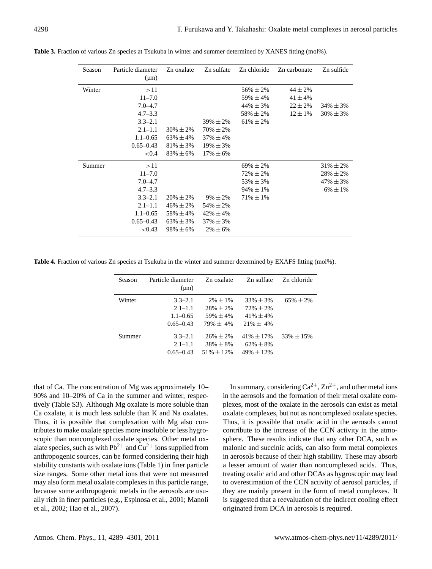| Season | Particle diameter<br>$(\mu m)$ | Zn oxalate     | Zn sulfate     | Zn chloride    | Zn carbonate | Zn sulfide     |
|--------|--------------------------------|----------------|----------------|----------------|--------------|----------------|
|        |                                |                |                |                |              |                |
| Winter | >11                            |                |                | $56\% \pm 2\%$ | $44 \pm 2\%$ |                |
|        | $11 - 7.0$                     |                |                | $59\% \pm 4\%$ | $41 \pm 4\%$ |                |
|        | $7.0 - 4.7$                    |                |                | $44\% \pm 3\%$ | $22 \pm 2\%$ | $34\% \pm 3\%$ |
|        | $4.7 - 3.3$                    |                |                | $58\% \pm 2\%$ | $12 \pm 1\%$ | $30\% \pm 3\%$ |
|        | $3.3 - 2.1$                    |                | $39\% \pm 2\%$ | $61\% \pm 2\%$ |              |                |
|        | $2.1 - 1.1$                    | $30\% \pm 2\%$ | $70\% \pm 2\%$ |                |              |                |
|        | $1.1 - 0.65$                   | $63\% \pm 4\%$ | $37\% \pm 4\%$ |                |              |                |
|        | $0.65 - 0.43$                  | $81\% \pm 3\%$ | $19\% \pm 3\%$ |                |              |                |
|        | ${<}0.4$                       | $83\% \pm 6\%$ | $17\% \pm 6\%$ |                |              |                |
| Summer | >11                            |                |                | $69\% \pm 2\%$ |              | $31\% \pm 2\%$ |
|        | $11 - 7.0$                     |                |                | $72\% \pm 2\%$ |              | $28\% \pm 2\%$ |
|        | $7.0 - 4.7$                    |                |                | $53\% \pm 3\%$ |              | $47\% \pm 3\%$ |
|        | $4.7 - 3.3$                    |                |                | $94\% \pm 1\%$ |              | $6\% \pm 1\%$  |
|        | $3.3 - 2.1$                    | $20\% \pm 2\%$ | $9\% \pm 2\%$  | $71\% \pm 1\%$ |              |                |
|        | $2.1 - 1.1$                    | $46\% \pm 2\%$ | $54\% \pm 2\%$ |                |              |                |
|        | $1.1 - 0.65$                   | $58\% \pm 4\%$ | $42\% \pm 4\%$ |                |              |                |
|        | $0.65 - 0.43$                  | $63\% \pm 3\%$ | $37\% \pm 3\%$ |                |              |                |
|        | ${<}0.43$                      | $98\% \pm 6\%$ | $2\% \pm 6\%$  |                |              |                |

**Table 3.** Fraction of various Zn species at Tsukuba in winter and summer determined by XANES fitting (mol%).

**Table 4.** Fraction of various Zn species at Tsukuba in the winter and summer determined by EXAFS fitting (mol%).

| Season | Particle diameter<br>$(\mu m)$                              | Zn oxalate                                                          | Zn sulfate                                                           | Zn chloride     |
|--------|-------------------------------------------------------------|---------------------------------------------------------------------|----------------------------------------------------------------------|-----------------|
| Winter | $3.3 - 2.1$<br>$2.1 - 1.1$<br>$1.1 - 0.65$<br>$0.65 - 0.43$ | $2\% \pm 1\%$<br>$28\% \pm 2\%$<br>$59\% \pm 4\%$<br>$79\% \pm 4\%$ | $33\% \pm 3\%$<br>$72\% \pm 2\%$<br>$41\% \pm 4\%$<br>$21\% \pm 4\%$ | $65\% \pm 2\%$  |
| Summer | $3.3 - 2.1$<br>$2.1 - 1.1$<br>$0.65 - 0.43$                 | $26\% \pm 2\%$<br>$38\% \pm 8\%$<br>$51\% \pm 12\%$                 | $41\% \pm 17\%$<br>$62\% \pm 8\%$<br>$49\% \pm 12\%$                 | $33\% \pm 15\%$ |

that of Ca. The concentration of Mg was approximately 10– 90% and 10–20% of Ca in the summer and winter, respectively (Table S3). Although Mg oxalate is more soluble than Ca oxalate, it is much less soluble than K and Na oxalates. Thus, it is possible that complexation with Mg also contributes to make oxalate species more insoluble or less hygroscopic than noncomplexed oxalate species. Other metal oxalate species, such as with Pb<sup>2+</sup> and  $Cu^{2+}$  ions supplied from anthropogenic sources, can be formed considering their high stability constants with oxalate ions (Table 1) in finer particle size ranges. Some other metal ions that were not measured may also form metal oxalate complexes in this particle range, because some anthropogenic metals in the aerosols are usually rich in finer particles (e.g., Espinosa et al., 2001; Manoli et al., 2002; Hao et al., 2007).

In summary, considering  $Ca^{2+}$ ,  $Zn^{2+}$ , and other metal ions in the aerosols and the formation of their metal oxalate complexes, most of the oxalate in the aerosols can exist as metal oxalate complexes, but not as noncomplexed oxalate species. Thus, it is possible that oxalic acid in the aerosols cannot contribute to the increase of the CCN activity in the atmosphere. These results indicate that any other DCA, such as malonic and succinic acids, can also form metal complexes in aerosols because of their high stability. These may absorb a lesser amount of water than noncomplexed acids. Thus, treating oxalic acid and other DCAs as hygroscopic may lead to overestimation of the CCN activity of aerosol particles, if they are mainly present in the form of metal complexes. It is suggested that a reevaluation of the indirect cooling effect originated from DCA in aerosols is required.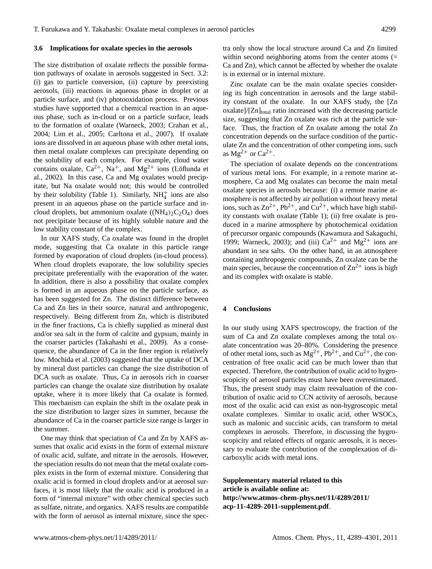#### **3.6 Implications for oxalate species in the aerosols**

The size distribution of oxalate reflects the possible formation pathways of oxalate in aerosols suggested in Sect. 3.2: (i) gas to particle conversion, (ii) capture by preexisting aerosols, (iii) reactions in aqueous phase in droplet or at particle surface, and (iv) photooxidation process. Previous studies have supported that a chemical reaction in an aqueous phase, such as in-cloud or on a particle surface, leads to the formation of oxalate (Warneck, 2003; Crahan et al., 2004; Lim et al., 2005; Carltona et al., 2007). If oxalate ions are dissolved in an aqueous phase with other metal ions, then metal oxalate complexes can precipitate depending on the solubility of each complex. For example, cloud water contains oxalate,  $Ca^{2+}$ , Na<sup>+</sup>, and Mg<sup>2+</sup> ions (Löflunda et al., 2002). In this case, Ca and Mg oxalates would precipitate, but Na oxalate would not; this would be controlled by their solubility (Table 1). Similarly,  $NH_4^+$  ions are also present in an aqueous phase on the particle surface and incloud droplets, but ammonium oxalate  $((NH_4)_2C_2O_4)$  does not precipitate because of its highly soluble nature and the low stability constant of the complex.

In our XAFS study, Ca oxalate was found in the droplet mode, suggesting that Ca oxalate in this particle range formed by evaporation of cloud droplets (in-cloud process). When cloud droplets evaporate, the low solubility species precipitate preferentially with the evaporation of the water. In addition, there is also a possibility that oxalate complex is formed in an aqueous phase on the particle surface, as has been suggested for Zn. The distinct difference between Ca and Zn lies in their source, natural and anthropogenic, respectively. Being different from Zn, which is distributed in the finer fractions, Ca is chiefly supplied as mineral dust and/or sea salt in the form of calcite and gypsum, mainly in the coarser particles (Takahashi et al., 2009). As a consequence, the abundance of Ca in the finer region is relatively low. Mochida et al. (2003) suggested that the uptake of DCA by mineral dust particles can change the size distribution of DCA such as oxalate. Thus, Ca in aerosols rich in coarser particles can change the oxalate size distribution by oxalate uptake, where it is more likely that Ca oxalate is formed. This mechanism can explain the shift in the oxalate peak in the size distribution to larger sizes in summer, because the abundance of Ca in the coarser particle size range is larger in the summer.

One may think that speciation of Ca and Zn by XAFS assumes that oxalic acid exists in the form of external mixture of oxalic acid, sulfate, and nitrate in the aerosols. However, the speciation results do not mean that the metal oxalate complex exists in the form of external mixture. Considering that oxalic acid is formed in cloud droplets and/or at aerosol surfaces, it is most likely that the oxalic acid is produced in a form of "internal mixture" with other chemical species such as sulfate, nitrate, and organics. XAFS results are compatible with the form of aerosol as internal mixture, since the spectra only show the local structure around Ca and Zn limited within second neighboring atoms from the center atoms (= Ca and Zn), which cannot be affected by whether the oxalate is in external or in internal mixture.

Zinc oxalate can be the main oxalate species considering its high concentration in aerosols and the large stability constant of the oxalate. In our XAFS study, the [Zn  $oxalate$ ]/[Zn] $_{total}$  ratio increased with the decreasing particle size, suggesting that Zn oxalate was rich at the particle surface. Thus, the fraction of Zn oxalate among the total Zn concentration depends on the surface condition of the particulate Zn and the concentration of other competing ions, such as  $Mg^{2+}$  or  $Ca^{2+}$ .

The speciation of oxalate depends on the concentrations of various metal ions. For example, in a remote marine atmosphere, Ca and Mg oxalates can become the main metal oxalate species in aerosols because: (i) a remote marine atmosphere is not affected by air pollution without heavy metal ions, such as  $\text{Zn}^{2+}$ , Pb<sup>2+</sup>, and Cu<sup>2+</sup>, which have high stability constants with oxalate (Table 1); (ii) free oxalate is produced in a marine atmosphere by photochemical oxidation of precursor organic compounds (Kawamura and Sakaguchi, 1999; Warneck, 2003); and (iii)  $Ca^{2+}$  and  $Mg^{2+}$  ions are abundant in sea salts. On the other hand, in an atmosphere containing anthropogenic compounds, Zn oxalate can be the main species, because the concentration of  $\text{Zn}^{2+}$  ions is high and its complex with oxalate is stable.

### **4 Conclusions**

In our study using XAFS spectroscopy, the fraction of the sum of Ca and Zn oxalate complexes among the total oxalate concentration was 20–80%. Considering the presence of other metal ions, such as  $Mg^{2+}$ ,  $Pb^{2+}$ , and  $Cu^{2+}$ , the concentration of free oxalic acid can be much lower than that expected. Therefore, the contribution of oxalic acid to hygroscopicity of aerosol particles must have been overestimated. Thus, the present study may claim reevaluation of the contribution of oxalic acid to CCN activity of aerosols, because most of the oxalic acid can exist as non-hygroscopic metal oxalate complexes. Similar to oxalic acid, other WSOCs, such as malonic and succinic acids, can transform to metal complexes in aerosols. Therefore, in discussing the hygroscopicity and related effects of organic aerosols, it is necessary to evaluate the contribution of the complexation of dicarboxylic acids with metal ions.

# **Supplementary material related to this article is available online at: [http://www.atmos-chem-phys.net/11/4289/2011/](http://www.atmos-chem-phys.net/11/4289/2011/acp-11-4289-2011-supplement.pdf) [acp-11-4289-2011-supplement.pdf](http://www.atmos-chem-phys.net/11/4289/2011/acp-11-4289-2011-supplement.pdf)**.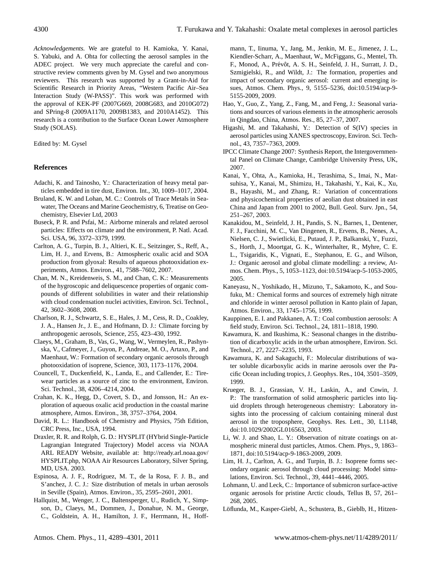*Acknowledgements.* We are grateful to H. Kamioka, Y. Kanai, S. Yabuki, and A. Ohta for collecting the aerosol samples in the ADEC project. We very much appreciate the careful and constructive review comments given by M. Gysel and two anonymous reviewers. This research was supported by a Grant-in-Aid for Scientific Research in Priority Areas, "Western Pacific Air–Sea Interaction Study (W-PASS)". This work was performed with the approval of KEK-PF (2007G669, 2008G683, and 2010G072) and SPring-8 (2009A1170, 2009B1383, and 2010A1452). This research is a contribution to the Surface Ocean Lower Atmosphere Study (SOLAS).

Edited by: M. Gysel

# **References**

- Adachi, K. and Tainosho, Y.: Characterization of heavy metal particles embedded in tire dust, Environ. Int., 30, 1009–1017, 2004.
- Bruland, K. W. and Lohan, M. C.: Controls of Trace Metals in Seawater, The Oceans and Marine Geochemistry, 6, Treatise on Geochemistry, Elsevier Ltd, 2003
- Buseck, P. R. and Psfai, M.: Airborne minerals and related aerosol particles: Effects on climate and the environment, P. Natl. Acad. Sci. USA, 96, 3372–3379, 1999.
- Carlton, A. G., Turpin, B. J., Altieri, K. E., Seitzinger, S., Reff, A., Lim, H. J., and Ervens, B.: Atmospheric oxalic acid and SOA production from glyoxal: Results of aqueous photooxidation experiments, Atmos. Environ., 41, 7588–7602, 2007.
- Chan, M. N., Kreidenweis, S. M., and Chan, C. K.: Measurements of the hygroscopic and deliquescence properties of organic compounds of different solubilities in water and their relationship with cloud condensation nuclei activities, Environ. Sci. Technol., 42, 3602–3608, 2008.
- Charlson, R. J., Schwartz, S. E., Hales, J. M., Cess, R. D., Coakley, J. A., Hansen Jr., J. E., and Hofmann, D. J.: Climate forcing by anthropogenic aerosols, Science, 255, 423–430, 1992.
- Claeys, M., Graham, B., Vas, G., Wang, W., Vermeylen, R., Pashynska, V., Cafmeyer, J., Guyon, P., Andreae, M. O., Artaxo, P., and Maenhaut, W.: Formation of secondary organic aerosols through photooxidation of isoprene, Science, 303, 1173–1176, 2004.
- Councell, T., Duckenfield, K., Landa, E., and Callender, E.: Tirewear particles as a source of zinc to the environment, Environ. Sci. Technol., 38, 4206–4214, 2004.
- Crahan, K. K., Hegg, D., Covert, S. D., and Jonsson, H.: An exploration of aqueous oxalic acid production in the coastal marine atmosphere, Atmos. Environ., 38, 3757–3764, 2004.
- David, R. L.: Handbook of Chemistry and Physics, 75th Edition, CRC Press, Inc., USA, 1994.
- Draxler, R. R. and Rolph, G. D.: HYSPLIT (HYbrid Single-Particle Lagrangian Integrated Trajectory) Model access via NOAA ARL READY Website, available at: [http://ready.arl.noaa.gov/](http://ready.arl.noaa.gov/HYSPLIT.php) [HYSPLIT.php,](http://ready.arl.noaa.gov/HYSPLIT.php) NOAA Air Resources Laboratory, Silver Spring, MD, USA. 2003.
- Espinosa, A. J. F., Rodríguez, M. T., de la Rosa, F. J. B., and S'anchez, J. C. J.: Size distribution of metals in urban aerosols in Seville (Spain), Atmos. Environ., 35, 2595–2601, 2001.
- Hallquist, M., Wenger, J. C., Baltensperger, U., Rudich, Y., Simpson, D., Claeys, M., Dommen, J., Donahue, N. M., George, C., Goldstein, A. H., Hamilton, J. F., Herrmann, H., Hoff-

mann, T., Iinuma, Y., Jang, M., Jenkin, M. E., Jimenez, J. L., Kiendler-Scharr, A., Maenhaut, W., McFiggans, G., Mentel, Th. F., Monod, A., Prévôt, A. S. H., Seinfeld, J. H., Surratt, J. D., Szmigielski, R., and Wildt, J.: The formation, properties and impact of secondary organic aerosol: current and emerging issues, Atmos. Chem. Phys., 9, 5155–5236, [doi:10.5194/acp-9-](http://dx.doi.org/10.5194/acp-9-5155-2009) [5155-2009,](http://dx.doi.org/10.5194/acp-9-5155-2009) 2009.

- Hao, Y., Guo, Z., Yang, Z., Fang, M., and Feng, J.: Seasonal variations and sources of various elements in the atmospheric aerosols in Qingdao, China, Atmos. Res., 85, 27–37, 2007.
- Higashi, M. and Takahashi, Y.: Detection of S(IV) species in aerosol particles using XANES spectroscopy, Environ. Sci. Technol., 43, 7357–7363, 2009.
- IPCC Climate Change 2007: Synthesis Report, the Intergovernmental Panel on Climate Change, Cambridge University Press, UK, 2007.
- Kanai, Y., Ohta, A., Kamioka, H., Terashima, S., Imai, N., Matsuhisa, Y., Kanai, M., Shimizu, H., Takahashi, Y., Kai, K., Xu, B., Hayashi, M., and Zhang, R.: Variation of concentrations and physicochemical properties of aeolian dust obtained in east China and Japan from 2001 to 2002, Bull. Geol. Surv. Jpn., 54, 251–267, 2003.
- Kanakidou, M., Seinfeld, J. H., Pandis, S. N., Barnes, I., Dentener, F. J., Facchini, M. C., Van Dingenen, R., Ervens, B., Nenes, A., Nielsen, C. J., Swietlicki, E., Putaud, J. P., Balkanski, Y., Fuzzi, S., Horth, J., Moortgat, G. K., Winterhalter, R., Myhre, C. E. L., Tsigaridis, K., Vignati, E., Stephanou, E. G., and Wilson, J.: Organic aerosol and global climate modelling: a review, Atmos. Chem. Phys., 5, 1053–1123, [doi:10.5194/acp-5-1053-2005,](http://dx.doi.org/10.5194/acp-5-1053-2005) 2005.
- Kaneyasu, N., Yoshikado, H., Mizuno, T., Sakamoto, K., and Soufuku, M.: Chemical forms and sources of extremely high nitrate and chloride in winter aerosol pollution in Kanto plain of Japan, Atmos. Environ., 33, 1745–1756, 1999.
- Kauppinen, E. I. and Pakkanen, A. T.: Coal combustion aerosols: A field study, Environ. Sci. Technol., 24, 1811–1818, 1990.
- Kawamura, K. and Ikushima, K.: Seasonal changes in the distribution of dicarboxylic acids in the urban atmosphere, Environ. Sci. Technol., 27, 2227–2235, 1993.
- Kawamura, K. and Sakaguchi, F.: Molecular distributions of water soluble dicarboxylic acids in marine aerosols over the Pacific Ocean including tropics, J. Geophys. Res., 104, 3501–3509, 1999.
- Krueger, B. J., Grassian, V. H., Laskin, A., and Cowin, J. P.: The transformation of solid atmospheric particles into liquid droplets through heterogeneous chemistry: Laboratory insights into the processing of calcium containing mineral dust aerosol in the troposphere, Geophys. Res. Lett., 30, L1148, [doi:10.1029/2002GL016563,](http://dx.doi.org/10.1029/2002GL016563) 2003.
- Li, W. J. and Shao, L. Y.: Observation of nitrate coatings on atmospheric mineral dust particles, Atmos. Chem. Phys., 9, 1863– 1871, [doi:10.5194/acp-9-1863-2009,](http://dx.doi.org/10.5194/acp-9-1863-2009) 2009.
- Lim, H. J., Carlton, A. G., and Turpin, B. J.: Isoprene forms secondary organic aerosol through cloud processing: Model simulations, Environ. Sci. Technol., 39, 4441–4446, 2005.
- Lohmann, U. and Leck, C.: Importance of submicron surface-active organic aerosols for pristine Arctic clouds, Tellus B, 57, 261– 268, 2005.
- Löflunda, M., Kasper-Giebl, A., Schustera, B., Gieblb, H., Hitzen-